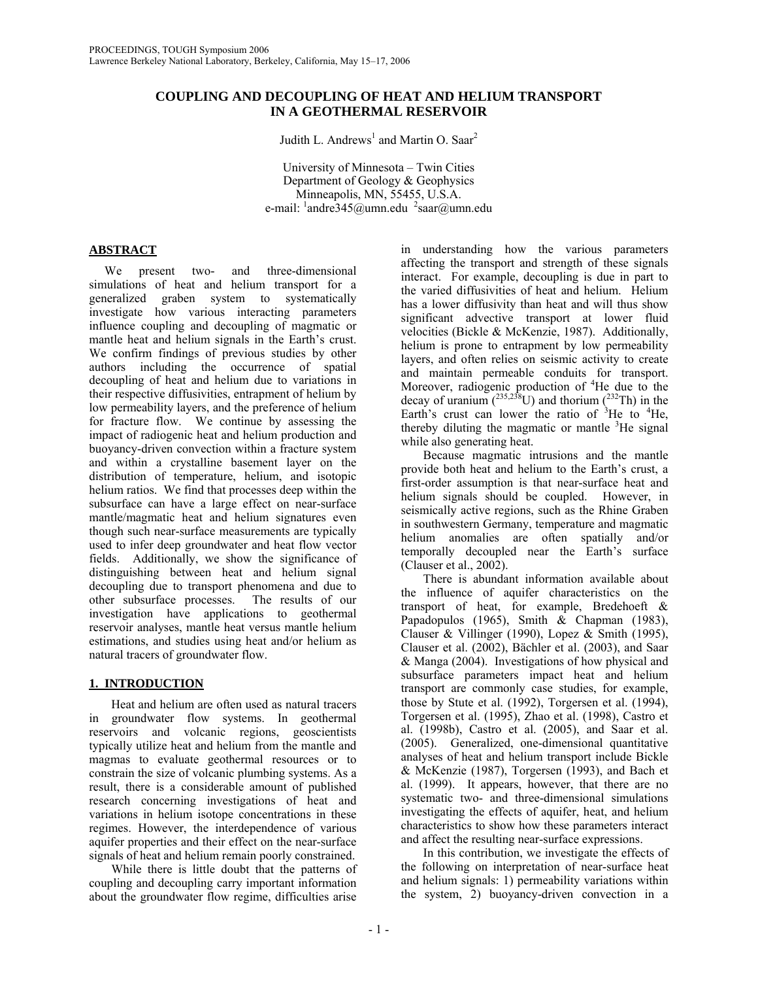## **COUPLING AND DECOUPLING OF HEAT AND HELIUM TRANSPORT IN A GEOTHERMAL RESERVOIR**

Judith L. Andrews<sup>1</sup> and Martin O. Saar<sup>2</sup>

University of Minnesota – Twin Cities Department of Geology & Geophysics Minneapolis, MN, 55455, U.S.A. e-mail:  $\frac{1}{2}$ andre $\frac{345}{\omega}$ umn.edu  $\frac{2}{3}$ saar $\omega$ umn.edu

# **ABSTRACT**

 We present two- and three-dimensional simulations of heat and helium transport for a generalized graben system to systematically investigate how various interacting parameters influence coupling and decoupling of magmatic or mantle heat and helium signals in the Earth's crust. We confirm findings of previous studies by other authors including the occurrence of spatial decoupling of heat and helium due to variations in their respective diffusivities, entrapment of helium by low permeability layers, and the preference of helium for fracture flow. We continue by assessing the impact of radiogenic heat and helium production and buoyancy-driven convection within a fracture system and within a crystalline basement layer on the distribution of temperature, helium, and isotopic helium ratios. We find that processes deep within the subsurface can have a large effect on near-surface mantle/magmatic heat and helium signatures even though such near-surface measurements are typically used to infer deep groundwater and heat flow vector fields. Additionally, we show the significance of distinguishing between heat and helium signal decoupling due to transport phenomena and due to other subsurface processes. The results of our investigation have applications to geothermal reservoir analyses, mantle heat versus mantle helium estimations, and studies using heat and/or helium as natural tracers of groundwater flow.

## **1. INTRODUCTION**

Heat and helium are often used as natural tracers in groundwater flow systems. In geothermal reservoirs and volcanic regions, geoscientists typically utilize heat and helium from the mantle and magmas to evaluate geothermal resources or to constrain the size of volcanic plumbing systems. As a result, there is a considerable amount of published research concerning investigations of heat and variations in helium isotope concentrations in these regimes. However, the interdependence of various aquifer properties and their effect on the near-surface signals of heat and helium remain poorly constrained.

While there is little doubt that the patterns of coupling and decoupling carry important information about the groundwater flow regime, difficulties arise in understanding how the various parameters affecting the transport and strength of these signals interact. For example, decoupling is due in part to the varied diffusivities of heat and helium. Helium has a lower diffusivity than heat and will thus show significant advective transport at lower fluid velocities (Bickle & McKenzie, 1987). Additionally, helium is prone to entrapment by low permeability layers, and often relies on seismic activity to create and maintain permeable conduits for transport. Moreover, radiogenic production of <sup>4</sup>He due to the decay of uranium  $(^{235,238}U)$  and thorium  $(^{232}Th)$  in the Earth's crust can lower the ratio of  ${}^{3}$ He to  ${}^{4}$ He, thereby diluting the magmatic or mantle <sup>3</sup>He signal while also generating heat.

Because magmatic intrusions and the mantle provide both heat and helium to the Earth's crust, a first-order assumption is that near-surface heat and helium signals should be coupled. However, in seismically active regions, such as the Rhine Graben in southwestern Germany, temperature and magmatic helium anomalies are often spatially and/or temporally decoupled near the Earth's surface (Clauser et al., 2002).

There is abundant information available about the influence of aquifer characteristics on the transport of heat, for example, Bredehoeft & Papadopulos (1965), Smith & Chapman (1983), Clauser & Villinger (1990), Lopez & Smith (1995), Clauser et al. (2002), Bächler et al. (2003), and Saar & Manga (2004). Investigations of how physical and subsurface parameters impact heat and helium transport are commonly case studies, for example, those by Stute et al. (1992), Torgersen et al. (1994), Torgersen et al. (1995), Zhao et al. (1998), Castro et al. (1998b), Castro et al. (2005), and Saar et al. (2005). Generalized, one-dimensional quantitative analyses of heat and helium transport include Bickle & McKenzie (1987), Torgersen (1993), and Bach et al. (1999). It appears, however, that there are no systematic two- and three-dimensional simulations investigating the effects of aquifer, heat, and helium characteristics to show how these parameters interact and affect the resulting near-surface expressions.

In this contribution, we investigate the effects of the following on interpretation of near-surface heat and helium signals: 1) permeability variations within the system, 2) buoyancy-driven convection in a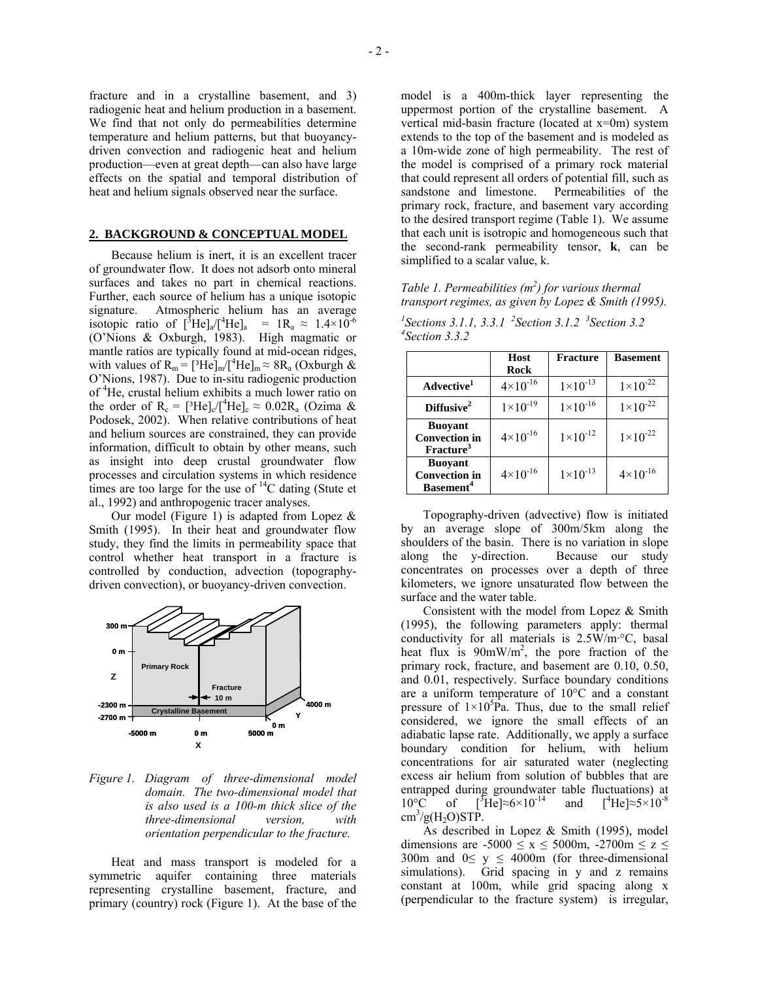fracture and in a crystalline basement, and 3) radiogenic heat and helium production in a basement. We find that not only do permeabilities determine temperature and helium patterns, but that buoyancydriven convection and radiogenic heat and helium production—even at great depth—can also have large effects on the spatial and temporal distribution of heat and helium signals observed near the surface.

#### **2. BACKGROUND & CONCEPTUAL MODEL**

Because helium is inert, it is an excellent tracer of groundwater flow. It does not adsorb onto mineral surfaces and takes no part in chemical reactions. Further, each source of helium has a unique isotopic signature. Atmospheric helium has an average isotopic ratio of  $[^{3}He]_a/[^{4}He]_a = 1R_a \approx 1.4 \times 10^{-6}$ (O'Nions & Oxburgh, 1983). High magmatic or mantle ratios are typically found at mid-ocean ridges, with values of  $R_m = [{}^3He]_m / [{}^4He]_m \approx 8R_a$  (Oxburgh  $\&$ O'Nions, 1987). Due to in-situ radiogenic production of <sup>4</sup> He, crustal helium exhibits a much lower ratio on the order of  $R_c = [{}^{3}He]_{c}/[{}^{4}He]_{c} \approx 0.02R_a$  (Ozima & Podosek, 2002). When relative contributions of heat and helium sources are constrained, they can provide information, difficult to obtain by other means, such as insight into deep crustal groundwater flow processes and circulation systems in which residence times are too large for the use of  ${}^{14}C$  dating (Stute et al., 1992) and anthropogenic tracer analyses.

Our model (Figure 1) is adapted from Lopez  $\&$ Smith (1995). In their heat and groundwater flow study, they find the limits in permeability space that control whether heat transport in a fracture is controlled by conduction, advection (topographydriven convection), or buoyancy-driven convection.



*Figure 1. Diagram of three-dimensional model domain. The two-dimensional model that is also used is a 100-m thick slice of the three-dimensional version, with orientation perpendicular to the fracture.* 

Heat and mass transport is modeled for a symmetric aquifer containing three materials representing crystalline basement, fracture, and primary (country) rock (Figure 1). At the base of the

model is a 400m-thick layer representing the uppermost portion of the crystalline basement. A vertical mid-basin fracture (located at x=0m) system extends to the top of the basement and is modeled as a 10m-wide zone of high permeability. The rest of the model is comprised of a primary rock material that could represent all orders of potential fill, such as sandstone and limestone. Permeabilities of the primary rock, fracture, and basement vary according to the desired transport regime (Table 1). We assume that each unit is isotropic and homogeneous such that the second-rank permeability tensor, **k**, can be simplified to a scalar value, k.

*Table 1. Permeabilities (m2 ) for various thermal transport regimes, as given by Lopez & Smith (1995).* 

<sup>*I*</sup> Sections 3.1.1, 3.3.1 <sup>2</sup> Section 3.1.2 <sup>3</sup> Section 3.2 *Section 3.3.2*

|                                                                 | <b>Host</b><br><b>Rock</b> | <b>Fracture</b>     | <b>Basement</b>     |
|-----------------------------------------------------------------|----------------------------|---------------------|---------------------|
| Advective <sup>1</sup>                                          | $4 \times 10^{-16}$        | $1 \times 10^{-13}$ | $1 \times 10^{-22}$ |
| Diffusive <sup>2</sup>                                          | $1 \times 10^{-19}$        | $1 \times 10^{-16}$ | $1 \times 10^{-22}$ |
| <b>Buoyant</b><br><b>Convection</b> in<br>Fracture <sup>3</sup> | $4 \times 10^{-16}$        | $1 \times 10^{-12}$ | $1 \times 10^{-22}$ |
| <b>Buoyant</b><br><b>Convection in</b><br>Basement <sup>4</sup> | $4 \times 10^{-16}$        | $1 \times 10^{-13}$ | $4 \times 10^{-16}$ |

Topography-driven (advective) flow is initiated by an average slope of 300m/5km along the shoulders of the basin. There is no variation in slope along the y-direction. Because our study concentrates on processes over a depth of three kilometers, we ignore unsaturated flow between the surface and the water table.

Consistent with the model from Lopez & Smith (1995), the following parameters apply: thermal conductivity for all materials is 2.5W/m·°C, basal heat flux is  $90 \text{mW/m}^2$ , the pore fraction of the primary rock, fracture, and basement are 0.10, 0.50, and 0.01, respectively. Surface boundary conditions are a uniform temperature of 10°C and a constant pressure of  $1 \times 10^5$ Pa. Thus, due to the small relief considered, we ignore the small effects of an adiabatic lapse rate. Additionally, we apply a surface boundary condition for helium, with helium concentrations for air saturated water (neglecting excess air helium from solution of bubbles that are entrapped during groundwater table fluctuations) at  $10^{\circ}$ C of  ${}^{3}\text{He}$  ≈6×10<sup>-14</sup> and [<sup>4</sup>  $\int$ <sup>4</sup>He]≈5×10<sup>-8</sup>  $\text{cm}^3/\text{g}(H_2\text{O})\text{STP}.$ 

As described in Lopez & Smith (1995), model dimensions are  $-5000 \le x \le 5000$ m,  $-2700$ m  $\le z \le$ 300m and  $0 \le y \le 4000$ m (for three-dimensional simulations). Grid spacing in y and z remains constant at 100m, while grid spacing along x (perpendicular to the fracture system) is irregular,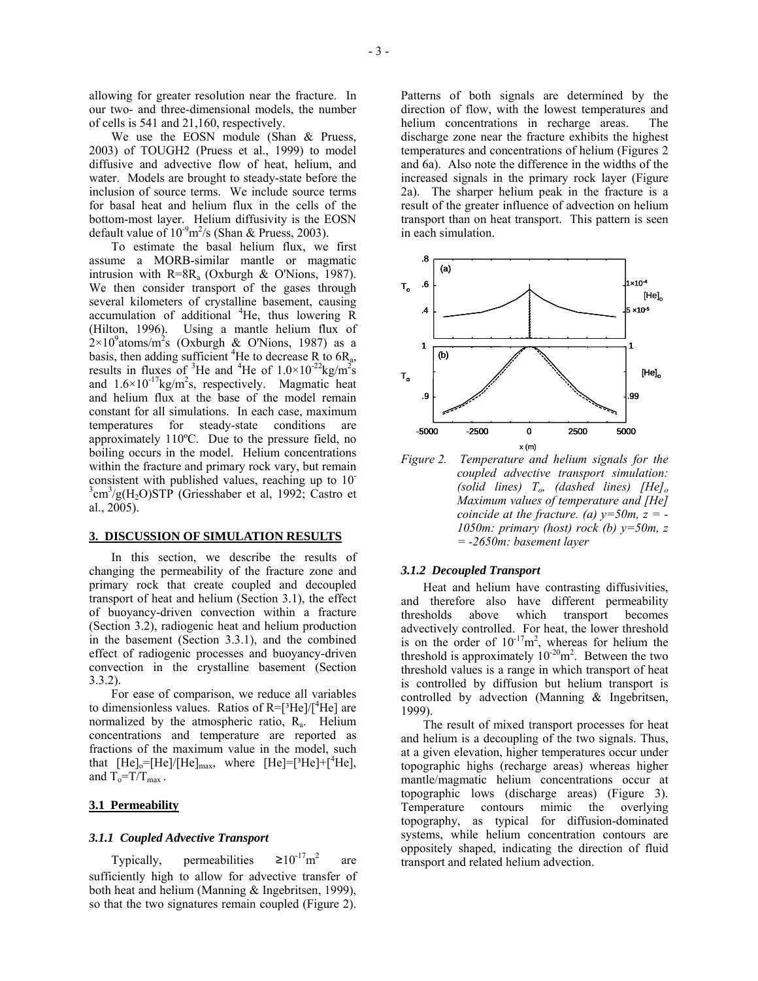allowing for greater resolution near the fracture. In our two- and three-dimensional models, the number of cells is 541 and 21,160, respectively.

We use the EOSN module (Shan & Pruess, 2003) of TOUGH2 (Pruess et al., 1999) to model diffusive and advective flow of heat, helium, and water. Models are brought to steady-state before the inclusion of source terms. We include source terms for basal heat and helium flux in the cells of the bottom-most layer. Helium diffusivity is the EOSN default value of  $10^{-9}$ m<sup>2</sup>/s (Shan & Pruess, 2003).

To estimate the basal helium flux, we first assume a MORB-similar mantle or magmatic intrusion with  $R=8R_a$  (Oxburgh & O'Nions, 1987). We then consider transport of the gases through several kilometers of crystalline basement, causing accumulation of additional <sup>4</sup>He, thus lowering R (Hilton, 1996). Using a mantle helium flux of  $2\times10^9$ atoms/m<sup>2</sup>s (Oxburgh & O'Nions, 1987) as a basis, then adding sufficient <sup>4</sup>He to decrease R to  $6R_a$ , results in fluxes of <sup>3</sup>He and <sup>4</sup>He of  $1.0 \times 10^{-22}$ kg/m<sup>2</sup>s and  $1.6 \times 10^{-17}$ kg/m<sup>2</sup>s, respectively. Magmatic heat and helium flux at the base of the model remain constant for all simulations. In each case, maximum temperatures for steady-state conditions approximately 110ºC. Due to the pressure field, no boiling occurs in the model. Helium concentrations within the fracture and primary rock vary, but remain consistent with published values, reaching up to 10-  $3 \text{cm}^3/\text{g(H}_2\text{O})\text{STP}$  (Griesshaber et al, 1992; Castro et al., 2005).

#### **3. DISCUSSION OF SIMULATION RESULTS**

In this section, we describe the results of changing the permeability of the fracture zone and primary rock that create coupled and decoupled transport of heat and helium (Section 3.1), the effect of buoyancy-driven convection within a fracture (Section 3.2), radiogenic heat and helium production in the basement (Section 3.3.1), and the combined effect of radiogenic processes and buoyancy-driven convection in the crystalline basement (Section 3.3.2).

For ease of comparison, we reduce all variables to dimensionless values. Ratios of  $R = [{}^{3}He]/[{}^{4}He]$  are normalized by the atmospheric ratio,  $R_a$ . Helium concentrations and temperature are reported as fractions of the maximum value in the model, such that  $[He]_0=[He]/[He]_{max}$ , where  $[He]=[{}^{3}He]+[{}^{4}He]$ , and  $T_o = T/T_{max}$ .

## **3.1 Permeability**

#### *3.1.1 Coupled Advective Transport*

Typically, permeabilities  $\geq 10^{-17}$ m<sup>2</sup> are sufficiently high to allow for advective transfer of both heat and helium (Manning & Ingebritsen, 1999), so that the two signatures remain coupled (Figure 2). Patterns of both signals are determined by the direction of flow, with the lowest temperatures and helium concentrations in recharge areas. The discharge zone near the fracture exhibits the highest temperatures and concentrations of helium (Figures 2 and 6a). Also note the difference in the widths of the increased signals in the primary rock layer (Figure 2a). The sharper helium peak in the fracture is a result of the greater influence of advection on helium transport than on heat transport. This pattern is seen in each simulation.



*Figure 2. Temperature and helium signals for the coupled advective transport simulation: (solid lines) To, (dashed lines) [He]o Maximum values of temperature and [He] coincide at the fracture.* (*a*)  $y=50m$ ,  $z = -$ *1050m: primary (host) rock (b) y=50m, z = -2650m: basement layer* 

#### *3.1.2 Decoupled Transport*

Heat and helium have contrasting diffusivities, and therefore also have different permeability thresholds above which transport becomes advectively controlled. For heat, the lower threshold is on the order of  $10^{-17}$ m<sup>2</sup>, whereas for helium the threshold is approximately  $10^{-20}$ m<sup>2</sup>. Between the two threshold values is a range in which transport of heat is controlled by diffusion but helium transport is controlled by advection (Manning & Ingebritsen, 1999).

The result of mixed transport processes for heat and helium is a decoupling of the two signals. Thus, at a given elevation, higher temperatures occur under topographic highs (recharge areas) whereas higher mantle/magmatic helium concentrations occur at topographic lows (discharge areas) (Figure 3). Temperature contours mimic the overlying topography, as typical for diffusion-dominated systems, while helium concentration contours are oppositely shaped, indicating the direction of fluid transport and related helium advection.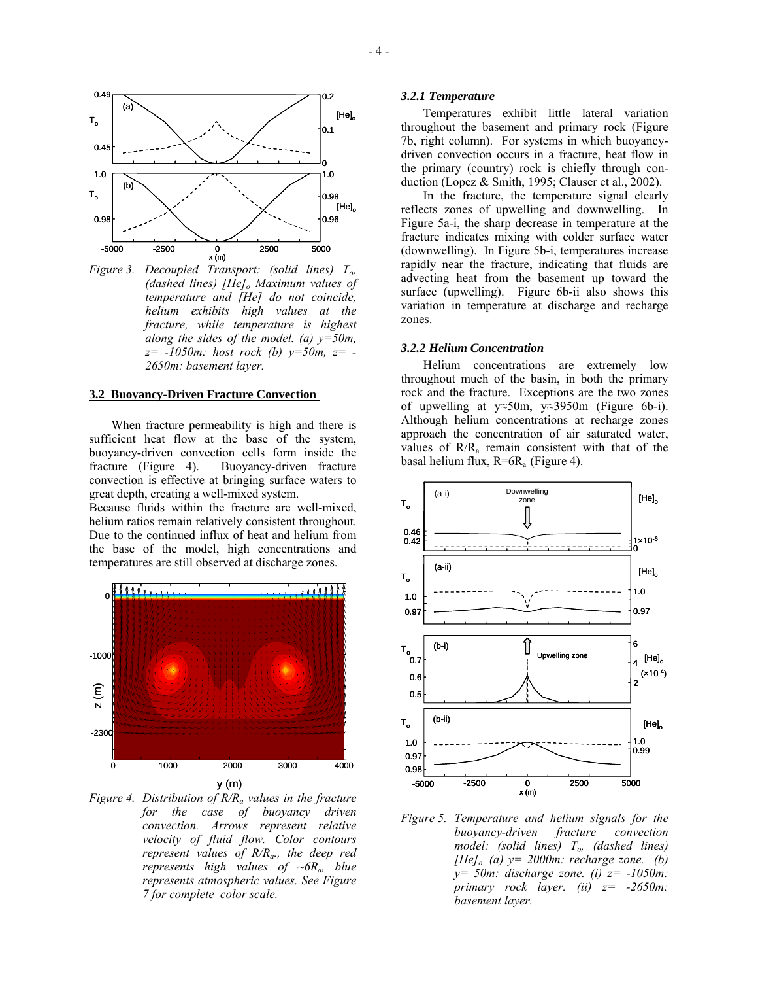

*Figure 3. Decoupled Transport: (solid lines) To, (dashed lines) [He]*<sub>*o</sub> Maximum values of*</sub> *temperature and [He] do not coincide, helium exhibits high values at the fracture, while temperature is highest along the sides of the model. (a) y=50m, z= -1050m: host rock (b) y=50m, z= - 2650m: basement layer.* 

#### **3.2 Buoyancy-Driven Fracture Convection**

When fracture permeability is high and there is sufficient heat flow at the base of the system, buoyancy-driven convection cells form inside the fracture (Figure 4). Buoyancy-driven fracture convection is effective at bringing surface waters to great depth, creating a well-mixed system.

Because fluids within the fracture are well-mixed, helium ratios remain relatively consistent throughout. Due to the continued influx of heat and helium from the base of the model, high concentrations and temperatures are still observed at discharge zones.



*Figure 4. Distribution of R/Ra values in the fracture for the case of buoyancy driven convection. Arrows represent relative velocity of fluid flow. Color contours represent values of R/Ra., the deep red represents high values of ~6Ra, blue represents atmospheric values. See Figure 7 for complete color scale.* 

#### *3.2.1 Temperature*

Temperatures exhibit little lateral variation throughout the basement and primary rock (Figure 7b, right column). For systems in which buoyancydriven convection occurs in a fracture, heat flow in the primary (country) rock is chiefly through conduction (Lopez & Smith, 1995; Clauser et al., 2002).

In the fracture, the temperature signal clearly reflects zones of upwelling and downwelling. In Figure 5a-i, the sharp decrease in temperature at the fracture indicates mixing with colder surface water (downwelling). In Figure 5b-i, temperatures increase rapidly near the fracture, indicating that fluids are advecting heat from the basement up toward the surface (upwelling). Figure 6b-ii also shows this variation in temperature at discharge and recharge zones.

#### *3.2.2 Helium Concentration*

Helium concentrations are extremely low throughout much of the basin, in both the primary rock and the fracture. Exceptions are the two zones of upwelling at y≈50m, y≈3950m (Figure 6b-i). Although helium concentrations at recharge zones approach the concentration of air saturated water, values of  $R/R<sub>a</sub>$  remain consistent with that of the basal helium flux,  $R=6R_a$  (Figure 4).



*Figure 5. Temperature and helium signals for the buoyancy-driven fracture convection model: (solid lines) To, (dashed lines) [He]<sub>o.</sub>* (a)  $y = 2000$ m: recharge zone. (b) *y= 50m: discharge zone. (i) z= -1050m: primary rock layer. (ii) z= -2650m: basement layer.*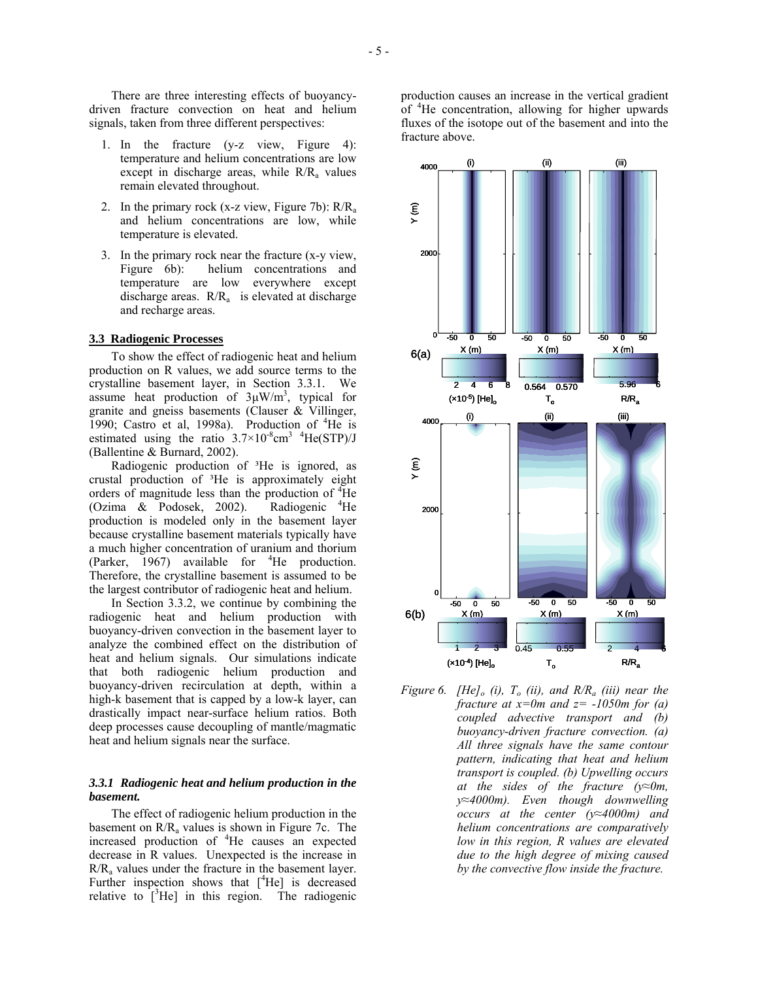There are three interesting effects of buoyancydriven fracture convection on heat and helium signals, taken from three different perspectives:

- 1. In the fracture (y-z view, Figure 4): temperature and helium concentrations are low except in discharge areas, while  $R/R<sub>a</sub>$  values remain elevated throughout.
- 2. In the primary rock (x-z view, Figure 7b):  $R/R_a$ and helium concentrations are low, while temperature is elevated.
- 3. In the primary rock near the fracture (x-y view, Figure 6b): helium concentrations and temperature are low everywhere except discharge areas.  $R/R<sub>a</sub>$  is elevated at discharge and recharge areas.

#### **3.3 Radiogenic Processes**

To show the effect of radiogenic heat and helium production on R values, we add source terms to the crystalline basement layer, in Section 3.3.1. We assume heat production of  $3\mu$ W/m<sup>3</sup>, typical for granite and gneiss basements (Clauser & Villinger, 1990; Castro et al, 1998a). Production of  ${}^{4}$ He is estimated using the ratio  $3.7 \times 10^{-8}$ cm<sup>3</sup> <sup>4</sup>He(STP)/J (Ballentine & Burnard, 2002).

Radiogenic production of <sup>3</sup>He is ignored, as crustal production of ³He is approximately eight orders of magnitude less than the production of <sup>4</sup>He (Ozima  $\&$  Podosek, 2002). Radiogenic  $4$ He production is modeled only in the basement layer because crystalline basement materials typically have a much higher concentration of uranium and thorium (Parker,  $1967$ ) available for <sup>4</sup>He production. Therefore, the crystalline basement is assumed to be the largest contributor of radiogenic heat and helium.

In Section 3.3.2, we continue by combining the radiogenic heat and helium production with buoyancy-driven convection in the basement layer to analyze the combined effect on the distribution of heat and helium signals. Our simulations indicate that both radiogenic helium production and buoyancy-driven recirculation at depth, within a high-k basement that is capped by a low-k layer, can drastically impact near-surface helium ratios. Both deep processes cause decoupling of mantle/magmatic heat and helium signals near the surface.

#### *3.3.1 Radiogenic heat and helium production in the basement.*

The effect of radiogenic helium production in the basement on  $R/R_a$  values is shown in Figure 7c. The increased production of <sup>4</sup> He causes an expected decrease in R values. Unexpected is the increase in  $R/R<sub>a</sub>$  values under the fracture in the basement layer. Further inspection shows that  $[$ <sup>4</sup>He] is decreased relative to  $\left[\begin{matrix} 3H\end{matrix}\right]$  in this region. The radiogenic

production causes an increase in the vertical gradient of <sup>4</sup>He concentration, allowing for higher upwards fluxes of the isotope out of the basement and into the fracture above.



*Figure 6. [He]<sub>o</sub>* (*i*),  $T_o$  (*ii*), and  $R/R_a$  (*iii*) near the *fracture at x=0m and z= -1050m for (a) coupled advective transport and (b) buoyancy-driven fracture convection. (a) All three signals have the same contour pattern, indicating that heat and helium transport is coupled. (b) Upwelling occurs at the sides of the fracture (y≈0m, y≈4000m). Even though downwelling occurs at the center (y≈4000m) and helium concentrations are comparatively low in this region, R values are elevated due to the high degree of mixing caused by the convective flow inside the fracture.*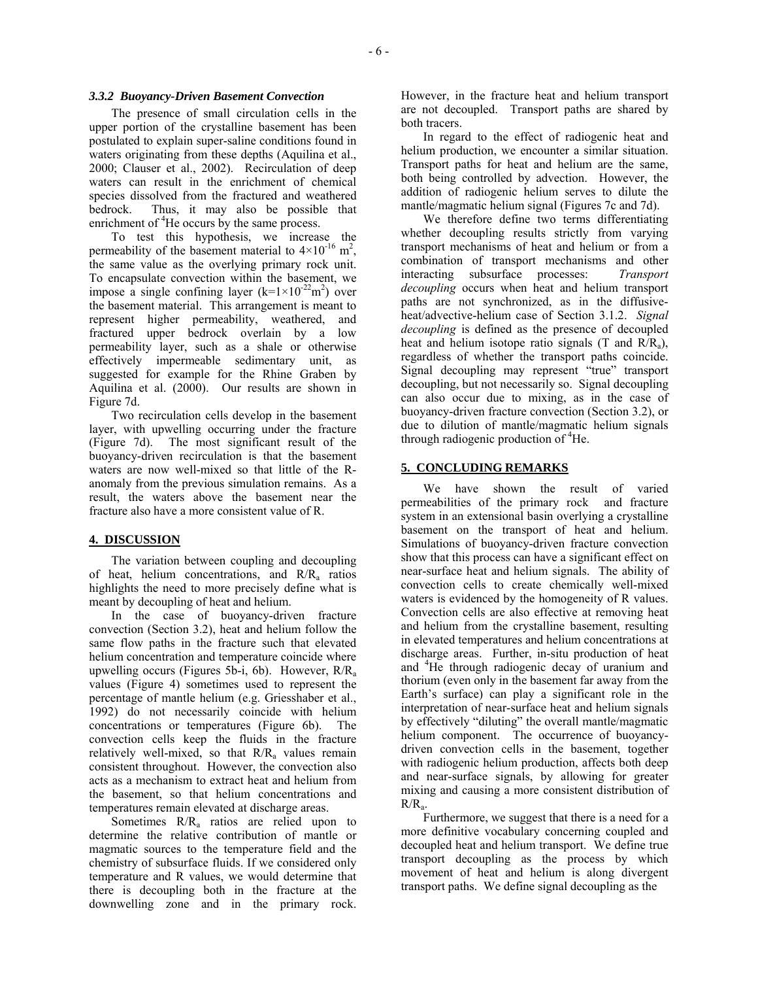The presence of small circulation cells in the upper portion of the crystalline basement has been postulated to explain super-saline conditions found in waters originating from these depths (Aquilina et al., 2000; Clauser et al., 2002). Recirculation of deep waters can result in the enrichment of chemical species dissolved from the fractured and weathered bedrock. Thus, it may also be possible that enrichment of <sup>4</sup>He occurs by the same process.

To test this hypothesis, we increase the permeability of the basement material to  $4\times10^{-16}$  m<sup>2</sup>, the same value as the overlying primary rock unit. To encapsulate convection within the basement, we impose a single confining layer  $(k=1\times10^{-22}m^2)$  over the basement material. This arrangement is meant to represent higher permeability, weathered, and fractured upper bedrock overlain by a low permeability layer, such as a shale or otherwise effectively impermeable sedimentary unit, as suggested for example for the Rhine Graben by Aquilina et al. (2000). Our results are shown in Figure 7d.

Two recirculation cells develop in the basement layer, with upwelling occurring under the fracture (Figure 7d). The most significant result of the buoyancy-driven recirculation is that the basement waters are now well-mixed so that little of the Ranomaly from the previous simulation remains. As a result, the waters above the basement near the fracture also have a more consistent value of R.

## **4. DISCUSSION**

The variation between coupling and decoupling of heat, helium concentrations, and  $R/R_a$  ratios highlights the need to more precisely define what is meant by decoupling of heat and helium.

In the case of buoyancy-driven fracture convection (Section 3.2), heat and helium follow the same flow paths in the fracture such that elevated helium concentration and temperature coincide where upwelling occurs (Figures 5b-i, 6b). However,  $R/R_a$ values (Figure 4) sometimes used to represent the percentage of mantle helium (e.g. Griesshaber et al., 1992) do not necessarily coincide with helium concentrations or temperatures (Figure 6b). The convection cells keep the fluids in the fracture relatively well-mixed, so that  $R/R<sub>a</sub>$  values remain consistent throughout. However, the convection also acts as a mechanism to extract heat and helium from the basement, so that helium concentrations and temperatures remain elevated at discharge areas.

Sometimes  $R/R<sub>a</sub>$  ratios are relied upon to determine the relative contribution of mantle or magmatic sources to the temperature field and the chemistry of subsurface fluids. If we considered only temperature and R values, we would determine that there is decoupling both in the fracture at the downwelling zone and in the primary rock. However, in the fracture heat and helium transport are not decoupled. Transport paths are shared by both tracers.

In regard to the effect of radiogenic heat and helium production, we encounter a similar situation. Transport paths for heat and helium are the same, both being controlled by advection. However, the addition of radiogenic helium serves to dilute the mantle/magmatic helium signal (Figures 7c and 7d).

We therefore define two terms differentiating whether decoupling results strictly from varying transport mechanisms of heat and helium or from a combination of transport mechanisms and other interacting subsurface processes: *Transport decoupling* occurs when heat and helium transport paths are not synchronized, as in the diffusiveheat/advective-helium case of Section 3.1.2. *Signal decoupling* is defined as the presence of decoupled heat and helium isotope ratio signals  $(T \text{ and } R/R_a)$ , regardless of whether the transport paths coincide. Signal decoupling may represent "true" transport decoupling, but not necessarily so. Signal decoupling can also occur due to mixing, as in the case of buoyancy-driven fracture convection (Section 3.2), or due to dilution of mantle/magmatic helium signals through radiogenic production of <sup>4</sup>He.

## **5. CONCLUDING REMARKS**

We have shown the result of varied permeabilities of the primary rock and fracture system in an extensional basin overlying a crystalline basement on the transport of heat and helium. Simulations of buoyancy-driven fracture convection show that this process can have a significant effect on near-surface heat and helium signals. The ability of convection cells to create chemically well-mixed waters is evidenced by the homogeneity of R values. Convection cells are also effective at removing heat and helium from the crystalline basement, resulting in elevated temperatures and helium concentrations at discharge areas. Further, in-situ production of heat and <sup>4</sup> He through radiogenic decay of uranium and thorium (even only in the basement far away from the Earth's surface) can play a significant role in the interpretation of near-surface heat and helium signals by effectively "diluting" the overall mantle/magmatic helium component. The occurrence of buoyancydriven convection cells in the basement, together with radiogenic helium production, affects both deep and near-surface signals, by allowing for greater mixing and causing a more consistent distribution of  $R/R<sub>a</sub>$ .

Furthermore, we suggest that there is a need for a more definitive vocabulary concerning coupled and decoupled heat and helium transport. We define true transport decoupling as the process by which movement of heat and helium is along divergent transport paths. We define signal decoupling as the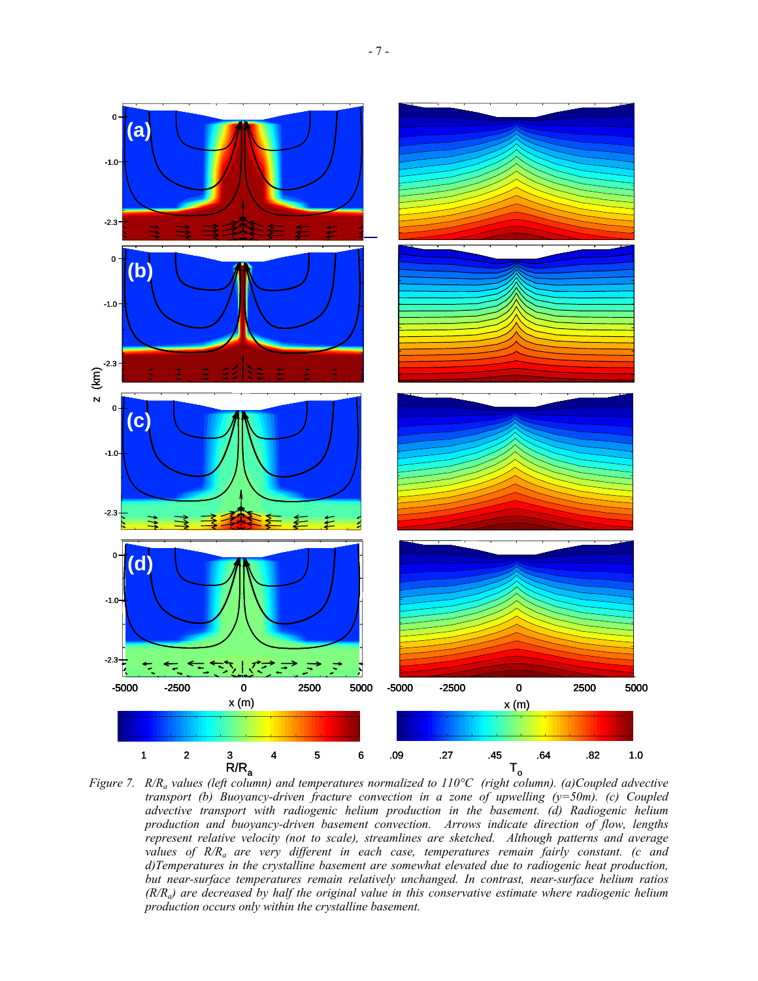

*Figure 7. R/Ra values (left column) and temperatures normalized to 110°C (right column). (a)Coupled advective transport (b) Buoyancy-driven fracture convection in a zone of upwelling (y=50m). (c) Coupled advective transport with radiogenic helium production in the basement. (d) Radiogenic helium production and buoyancy-driven basement convection. Arrows indicate direction of flow, lengths represent relative velocity (not to scale), streamlines are sketched. Although patterns and average values of R/Ra are very different in each case, temperatures remain fairly constant. (c and d)Temperatures in the crystalline basement are somewhat elevated due to radiogenic heat production, but near-surface temperatures remain relatively unchanged. In contrast, near-surface helium ratios (R/Ra) are decreased by half the original value in this conservative estimate where radiogenic helium production occurs only within the crystalline basement.*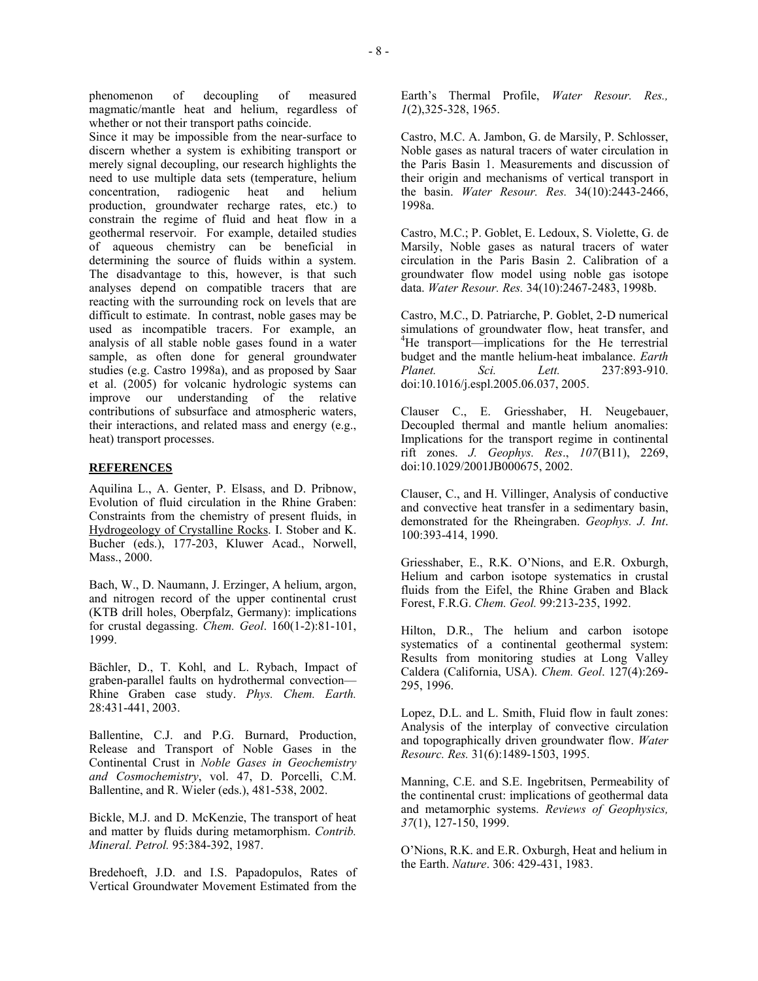phenomenon of decoupling of measured magmatic/mantle heat and helium, regardless of whether or not their transport paths coincide.

Since it may be impossible from the near-surface to discern whether a system is exhibiting transport or merely signal decoupling, our research highlights the need to use multiple data sets (temperature, helium concentration, radiogenic heat and helium production, groundwater recharge rates, etc.) to constrain the regime of fluid and heat flow in a geothermal reservoir. For example, detailed studies of aqueous chemistry can be beneficial in determining the source of fluids within a system. The disadvantage to this, however, is that such analyses depend on compatible tracers that are reacting with the surrounding rock on levels that are difficult to estimate. In contrast, noble gases may be used as incompatible tracers. For example, an analysis of all stable noble gases found in a water sample, as often done for general groundwater studies (e.g. Castro 1998a), and as proposed by Saar et al. (2005) for volcanic hydrologic systems can improve our understanding of the relative contributions of subsurface and atmospheric waters, their interactions, and related mass and energy (e.g., heat) transport processes.

## **REFERENCES**

Aquilina L., A. Genter, P. Elsass, and D. Pribnow, Evolution of fluid circulation in the Rhine Graben: Constraints from the chemistry of present fluids, in Hydrogeology of Crystalline Rocks. I. Stober and K. Bucher (eds.), 177-203, Kluwer Acad., Norwell, Mass., 2000.

Bach, W., D. Naumann, J. Erzinger, A helium, argon, and nitrogen record of the upper continental crust (KTB drill holes, Oberpfalz, Germany): implications for crustal degassing. *Chem. Geol*. 160(1-2):81-101, 1999.

Bächler, D., T. Kohl, and L. Rybach, Impact of graben-parallel faults on hydrothermal convection— Rhine Graben case study. *Phys. Chem. Earth.* 28:431-441, 2003.

Ballentine, C.J. and P.G. Burnard, Production, Release and Transport of Noble Gases in the Continental Crust in *Noble Gases in Geochemistry and Cosmochemistry*, vol. 47, D. Porcelli, C.M. Ballentine, and R. Wieler (eds.), 481-538, 2002.

Bickle, M.J. and D. McKenzie, The transport of heat and matter by fluids during metamorphism. *Contrib. Mineral. Petrol.* 95:384-392, 1987.

Bredehoeft, J.D. and I.S. Papadopulos, Rates of Vertical Groundwater Movement Estimated from the

Earth's Thermal Profile, *Water Resour. Res., 1*(2),325-328, 1965.

Castro, M.C. A. Jambon, G. de Marsily, P. Schlosser, Noble gases as natural tracers of water circulation in the Paris Basin 1. Measurements and discussion of their origin and mechanisms of vertical transport in the basin. *Water Resour. Res.* 34(10):2443-2466, 1998a.

Castro, M.C.; P. Goblet, E. Ledoux, S. Violette, G. de Marsily, Noble gases as natural tracers of water circulation in the Paris Basin 2. Calibration of a groundwater flow model using noble gas isotope data. *Water Resour. Res.* 34(10):2467-2483, 1998b.

Castro, M.C., D. Patriarche, P. Goblet, 2-D numerical simulations of groundwater flow, heat transfer, and <sup>4</sup>He transport—implications for the He terrestrial budget and the mantle helium-heat imbalance. *Earth Planet. Sci. Lett.* 237:893-910. doi:10.1016/j.espl.2005.06.037, 2005.

Clauser C., E. Griesshaber, H. Neugebauer, Decoupled thermal and mantle helium anomalies: Implications for the transport regime in continental rift zones. *J. Geophys. Res*., *107*(B11), 2269, doi:10.1029/2001JB000675, 2002.

Clauser, C., and H. Villinger, Analysis of conductive and convective heat transfer in a sedimentary basin, demonstrated for the Rheingraben. *Geophys. J. Int*. 100:393-414, 1990.

Griesshaber, E., R.K. O'Nions, and E.R. Oxburgh, Helium and carbon isotope systematics in crustal fluids from the Eifel, the Rhine Graben and Black Forest, F.R.G. *Chem. Geol.* 99:213-235, 1992.

Hilton, D.R., The helium and carbon isotope systematics of a continental geothermal system: Results from monitoring studies at Long Valley Caldera (California, USA). *Chem. Geol*. 127(4):269- 295, 1996.

Lopez, D.L. and L. Smith, Fluid flow in fault zones: Analysis of the interplay of convective circulation and topographically driven groundwater flow. *Water Resourc. Res.* 31(6):1489-1503, 1995.

Manning, C.E. and S.E. Ingebritsen, Permeability of the continental crust: implications of geothermal data and metamorphic systems. *Reviews of Geophysics, 37*(1), 127-150, 1999.

O'Nions, R.K. and E.R. Oxburgh, Heat and helium in the Earth. *Nature*. 306: 429-431, 1983.